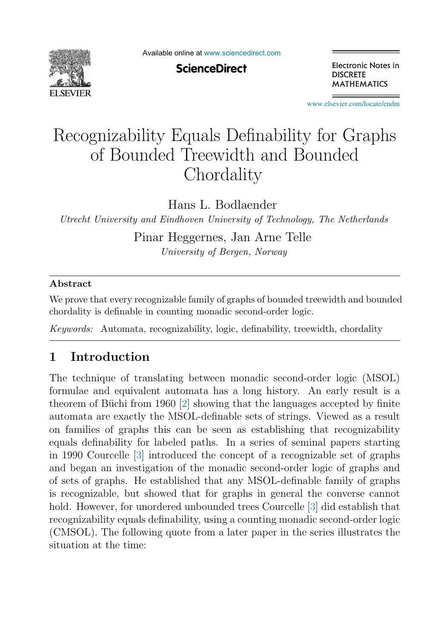

**ScienceDirect** 

Electronic Notes in **DISCRETE MATHEMATICS** 

[www.elsevier.com/locate/endm](http://www.elsevier.com/locate/endm)

# Recognizability Equals Definability for Graphs of Bounded Treewidth and Bounded **Chordality**

Hans L. Bodlaender

*Utrecht University and Eindhoven University of Technology, The Netherlands*

Pinar Heggernes, Jan Arne Telle *University of Bergen, Norway*

#### **Abstract**

We prove that every recognizable family of graphs of bounded treewidth and bounded chordality is definable in counting monadic second-order logic.

*Keywords:* Automata, recognizability, logic, definability, treewidth, chordality

## **1 Introduction**

The technique of translating between monadic second-order logic (MSOL) formulae and equivalent automata has a long history. An early result is a theorem of Büchi from 1960  $[2]$  showing that the languages accepted by finite automata are exactly the MSOL-definable sets of strings. Viewed as a result on families of graphs this can be seen as establishing that recognizability equals definability for labeled paths. In a series of seminal papers starting in 1990 Courcelle [\[3\]](#page-9-0) introduced the concept of a recognizable set of graphs and began an investigation of the monadic second-order logic of graphs and of sets of graphs. He established that any MSOL-definable family of graphs is recognizable, but showed that for graphs in general the converse cannot hold. However, for unordered unbounded trees Courcelle [\[3\]](#page-9-0) did establish that recognizability equals definability, using a counting monadic second-order logic (CMSOL). The following quote from a later paper in the series illustrates the situation at the time: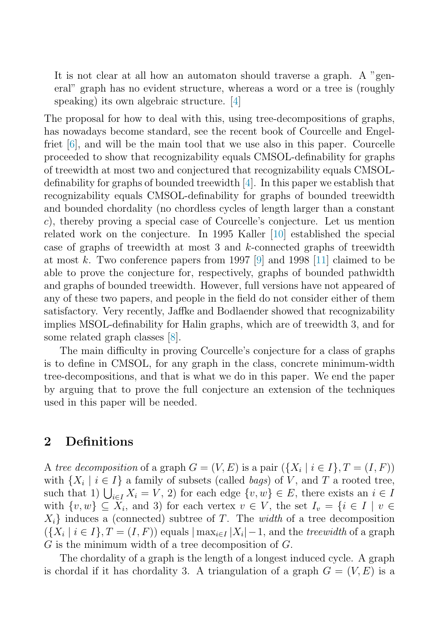It is not clear at all how an automaton should traverse a graph. A "general" graph has no evident structure, whereas a word or a tree is (roughly speaking) its own algebraic structure. [\[4\]](#page-9-0)

The proposal for how to deal with this, using tree-decompositions of graphs, has nowadays become standard, see the recent book of Courcelle and Engelfriet [\[6\]](#page-9-0), and will be the main tool that we use also in this paper. Courcelle proceeded to show that recognizability equals CMSOL-definability for graphs of treewidth at most two and conjectured that recognizability equals CMSOLdefinability for graphs of bounded treewidth [\[4\]](#page-9-0). In this paper we establish that recognizability equals CMSOL-definability for graphs of bounded treewidth and bounded chordality (no chordless cycles of length larger than a constant c), thereby proving a special case of Courcelle's conjecture. Let us mention related work on the conjecture. In 1995 Kaller [\[10\]](#page-9-0) established the special case of graphs of treewidth at most 3 and k-connected graphs of treewidth at most k. Two conference papers from 1997 [\[9\]](#page-9-0) and 1998 [\[11\]](#page-9-0) claimed to be able to prove the conjecture for, respectively, graphs of bounded pathwidth and graphs of bounded treewidth. However, full versions have not appeared of any of these two papers, and people in the field do not consider either of them satisfactory. Very recently, Jaffke and Bodlaender showed that recognizability implies MSOL-definability for Halin graphs, which are of treewidth 3, and for some related graph classes [\[8\]](#page-9-0).

The main difficulty in proving Courcelle's conjecture for a class of graphs is to define in CMSOL, for any graph in the class, concrete minimum-width tree-decompositions, and that is what we do in this paper. We end the paper by arguing that to prove the full conjecture an extension of the techniques used in this paper will be needed.

### **2 Definitions**

A tree decomposition of a graph  $G = (V, E)$  is a pair  $(\{X_i | i \in I\}, T = (I, F))$ with  $\{X_i \mid i \in I\}$  a family of subsets (called *bags*) of V, and T a rooted tree, such that 1)  $\bigcup_{i\in I} X_i = V$ , 2) for each edge  $\{v, w\} \in E$ , there exists an  $i \in I$ with  $\{v,w\} \subseteq X_i$ , and 3) for each vertex  $v \in V$ , the set  $I_v = \{i \in I \mid v \in V\}$  $X_i$  induces a (connected) subtree of T. The width of a tree decomposition  $({X_i | i \in I}, T = (I, F))$  equals  $|\max_{i \in I} |X_i| - 1$ , and the *treewidth* of a graph G is the minimum width of a tree decomposition of  $G$ .

The chordality of a graph is the length of a longest induced cycle. A graph is chordal if it has chordality 3. A triangulation of a graph  $G = (V, E)$  is a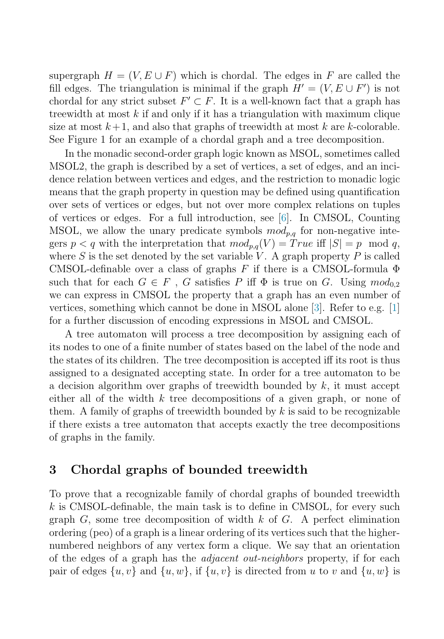supergraph  $H = (V, E \cup F)$  which is chordal. The edges in F are called the fill edges. The triangulation is minimal if the graph  $H' = (V, E \cup F')$  is not chordal for any strict subset  $F' \subset F$ . It is a well-known fact that a graph has treewidth at most  $k$  if and only if it has a triangulation with maximum clique size at most  $k+1$ , and also that graphs of treewidth at most k are k-colorable. See Figure 1 for an example of a chordal graph and a tree decomposition.

In the monadic second-order graph logic known as MSOL, sometimes called MSOL2, the graph is described by a set of vertices, a set of edges, and an incidence relation between vertices and edges, and the restriction to monadic logic means that the graph property in question may be defined using quantification over sets of vertices or edges, but not over more complex relations on tuples of vertices or edges. For a full introduction, see [\[6\]](#page-9-0). In CMSOL, Counting MSOL, we allow the unary predicate symbols  $mod_{p,q}$  for non-negative integers  $p < q$  with the interpretation that  $mod_{p,q}(V) = True$  iff  $|S| = p \mod q$ , where  $S$  is the set denoted by the set variable  $V$ . A graph property  $P$  is called CMSOL-definable over a class of graphs  $F$  if there is a CMSOL-formula  $\Phi$ such that for each  $G \in F$ , G satisfies P iff  $\Phi$  is true on G. Using  $mod_{0.2}$ we can express in CMSOL the property that a graph has an even number of vertices, something which cannot be done in MSOL alone [\[3\]](#page-9-0). Refer to e.g. [\[1\]](#page-9-0) for a further discussion of encoding expressions in MSOL and CMSOL.

A tree automaton will process a tree decomposition by assigning each of its nodes to one of a finite number of states based on the label of the node and the states of its children. The tree decomposition is accepted iff its root is thus assigned to a designated accepting state. In order for a tree automaton to be a decision algorithm over graphs of treewidth bounded by  $k$ , it must accept either all of the width  $k$  tree decompositions of a given graph, or none of them. A family of graphs of treewidth bounded by  $k$  is said to be recognizable if there exists a tree automaton that accepts exactly the tree decompositions of graphs in the family.

#### **3 Chordal graphs of bounded treewidth**

To prove that a recognizable family of chordal graphs of bounded treewidth  $k$  is CMSOL-definable, the main task is to define in CMSOL, for every such graph  $G$ , some tree decomposition of width  $k$  of  $G$ . A perfect elimination ordering (peo) of a graph is a linear ordering of its vertices such that the highernumbered neighbors of any vertex form a clique. We say that an orientation of the edges of a graph has the adjacent out-neighbors property, if for each pair of edges  $\{u, v\}$  and  $\{u, w\}$ , if  $\{u, v\}$  is directed from u to v and  $\{u, w\}$  is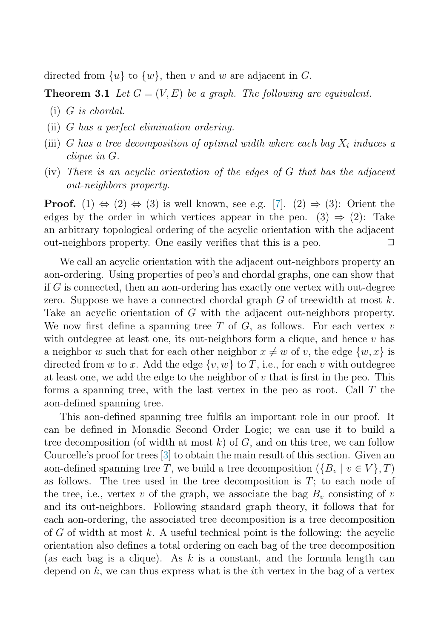directed from  $\{u\}$  to  $\{w\}$ , then v and w are adjacent in G.

**Theorem 3.1** Let  $G = (V, E)$  be a graph. The following are equivalent.

- (i) G is chordal.
- (ii) G has a perfect elimination ordering.
- (iii) G has a tree decomposition of optimal width where each bag  $X_i$  induces a clique in G.
- (iv) There is an acyclic orientation of the edges of  $G$  that has the adjacent out-neighbors property.

**Proof.** (1)  $\Leftrightarrow$  (2)  $\Leftrightarrow$  (3) is well known, see e.g. [\[7\]](#page-9-0). (2)  $\Rightarrow$  (3): Orient the edges by the order in which vertices appear in the peo. (3)  $\Rightarrow$  (2): Take an arbitrary topological ordering of the acyclic orientation with the adjacent out-neighbors property. One easily verifies that this is a peo.  $\Box$ 

We call an acyclic orientation with the adjacent out-neighbors property an aon-ordering. Using properties of peo's and chordal graphs, one can show that if G is connected, then an aon-ordering has exactly one vertex with out-degree zero. Suppose we have a connected chordal graph  $G$  of treewidth at most  $k$ . Take an acyclic orientation of G with the adjacent out-neighbors property. We now first define a spanning tree T of  $G$ , as follows. For each vertex v with outdegree at least one, its out-neighbors form a clique, and hence  $v$  has a neighbor w such that for each other neighbor  $x \neq w$  of v, the edge  $\{w, x\}$  is directed from w to x. Add the edge  $\{v,w\}$  to T, i.e., for each v with outdegree at least one, we add the edge to the neighbor of  $v$  that is first in the peo. This forms a spanning tree, with the last vertex in the peo as root. Call T the aon-defined spanning tree.

This aon-defined spanning tree fulfils an important role in our proof. It can be defined in Monadic Second Order Logic; we can use it to build a tree decomposition (of width at most  $k$ ) of  $G$ , and on this tree, we can follow Courcelle's proof for trees [\[3\]](#page-9-0) to obtain the main result of this section. Given an aon-defined spanning tree T, we build a tree decomposition  $({B_v | v \in V}, T)$ as follows. The tree used in the tree decomposition is  $T$ ; to each node of the tree, i.e., vertex v of the graph, we associate the bag  $B_v$  consisting of v and its out-neighbors. Following standard graph theory, it follows that for each aon-ordering, the associated tree decomposition is a tree decomposition of  $G$  of width at most  $k$ . A useful technical point is the following: the acyclic orientation also defines a total ordering on each bag of the tree decomposition (as each bag is a clique). As k is a constant, and the formula length can depend on  $k$ , we can thus express what is the *i*th vertex in the bag of a vertex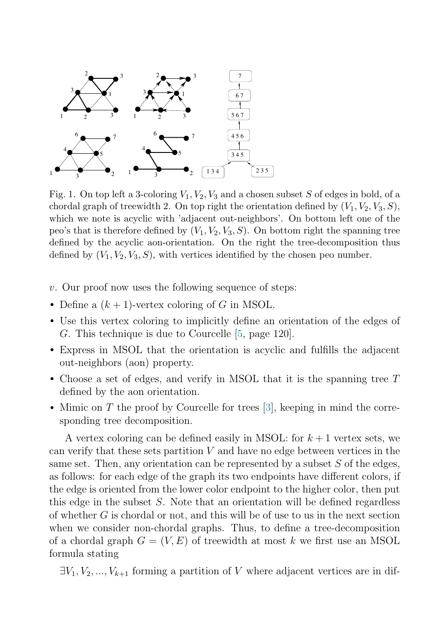

Fig. 1. On top left a 3-coloring  $V_1, V_2, V_3$  and a chosen subset S of edges in bold, of a chordal graph of treewidth 2. On top right the orientation defined by  $(V_1, V_2, V_3, S)$ , which we note is acyclic with 'adjacent out-neighbors'. On bottom left one of the peo's that is therefore defined by  $(V_1, V_2, V_3, S)$ . On bottom right the spanning tree defined by the acyclic aon-orientation. On the right the tree-decomposition thus defined by  $(V_1, V_2, V_3, S)$ , with vertices identified by the chosen peo number.

- $v.$  Our proof now uses the following sequence of steps:
- Define a  $(k + 1)$ -vertex coloring of G in MSOL.
- Use this vertex coloring to implicitly define an orientation of the edges of G. This technique is due to Courcelle [\[5,](#page-9-0) page 120].
- Express in MSOL that the orientation is acyclic and fulfills the adjacent out-neighbors (aon) property.
- Choose a set of edges, and verify in MSOL that it is the spanning tree T defined by the aon orientation.
- Mimic on T the proof by Courcelle for trees [\[3\]](#page-9-0), keeping in mind the corresponding tree decomposition.

A vertex coloring can be defined easily in MSOL: for  $k+1$  vertex sets, we can verify that these sets partition  $V$  and have no edge between vertices in the same set. Then, any orientation can be represented by a subset  $S$  of the edges, as follows: for each edge of the graph its two endpoints have different colors, if the edge is oriented from the lower color endpoint to the higher color, then put this edge in the subset S. Note that an orientation will be defined regardless of whether G is chordal or not, and this will be of use to us in the next section when we consider non-chordal graphs. Thus, to define a tree-decomposition of a chordal graph  $G = (V, E)$  of treewidth at most k we first use an MSOL formula stating

 $\exists V_1, V_2, ..., V_{k+1}$  forming a partition of V where adjacent vertices are in dif-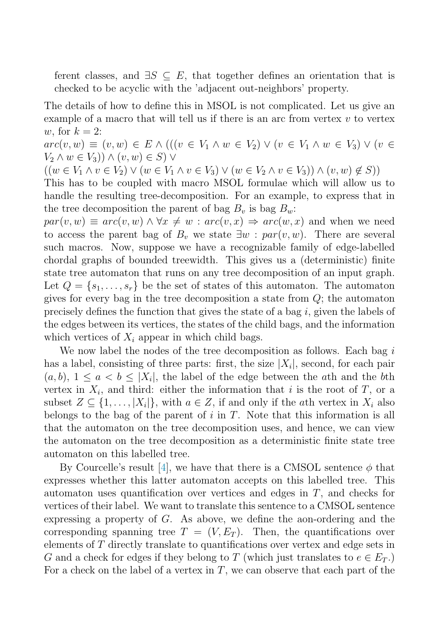ferent classes, and  $\exists S \subseteq E$ , that together defines an orientation that is checked to be acyclic with the 'adjacent out-neighbors' property.

The details of how to define this in MSOL is not complicated. Let us give an example of a macro that will tell us if there is an arc from vertex  $v$  to vertex w, for  $k = 2$ :

 $arc(v, w) ≡ (v, w) ∈ E ∧ (((v ∈ V_1 ∧ w ∈ V_2) ∨ (v ∈ V_1 ∧ w ∈ V_3) ∨ (v ∈ V_1 ∧ w ∈ V_3)$  $V_2 \wedge w \in V_3$ )  $\wedge (v,w) \in S$ )  $\vee$ 

 $((w \in V_1 \land v \in V_2) \lor (w \in V_1 \land v \in V_3) \lor (w \in V_2 \land v \in V_3)) \land (v, w) \notin S))$ 

This has to be coupled with macro MSOL formulae which will allow us to handle the resulting tree-decomposition. For an example, to express that in the tree decomposition the parent of bag  $B_v$  is bag  $B_w$ :

 $par(v, w) \equiv arc(v, w) \wedge \forall x \neq w : arc(v, x) \Rightarrow arc(w, x)$  and when we need to access the parent bag of  $B_v$  we state  $\exists w : par(v,w)$ . There are several such macros. Now, suppose we have a recognizable family of edge-labelled chordal graphs of bounded treewidth. This gives us a (deterministic) finite state tree automaton that runs on any tree decomposition of an input graph. Let  $Q = \{s_1, \ldots, s_r\}$  be the set of states of this automaton. The automaton gives for every bag in the tree decomposition a state from Q; the automaton precisely defines the function that gives the state of a bag  $i$ , given the labels of the edges between its vertices, the states of the child bags, and the information which vertices of  $X_i$  appear in which child bags.

We now label the nodes of the tree decomposition as follows. Each bag  $i$ has a label, consisting of three parts: first, the size  $|X_i|$ , second, for each pair  $(a, b), 1 \leq a \leq b \leq |X_i|$ , the label of the edge between the ath and the bth vertex in  $X_i$ , and third: either the information that i is the root of T, or a subset  $Z \subseteq \{1, \ldots, |X_i|\}$ , with  $a \in Z$ , if and only if the *ath* vertex in  $X_i$  also belongs to the bag of the parent of  $i$  in  $T$ . Note that this information is all that the automaton on the tree decomposition uses, and hence, we can view the automaton on the tree decomposition as a deterministic finite state tree automaton on this labelled tree.

By Courcelle's result [\[4\]](#page-9-0), we have that there is a CMSOL sentence  $\phi$  that expresses whether this latter automaton accepts on this labelled tree. This automaton uses quantification over vertices and edges in  $T$ , and checks for vertices of their label. We want to translate this sentence to a CMSOL sentence expressing a property of G. As above, we define the aon-ordering and the corresponding spanning tree  $T = (V, E_T)$ . Then, the quantifications over elements of T directly translate to quantifications over vertex and edge sets in G and a check for edges if they belong to T (which just translates to  $e \in E_T$ .) For a check on the label of a vertex in  $T$ , we can observe that each part of the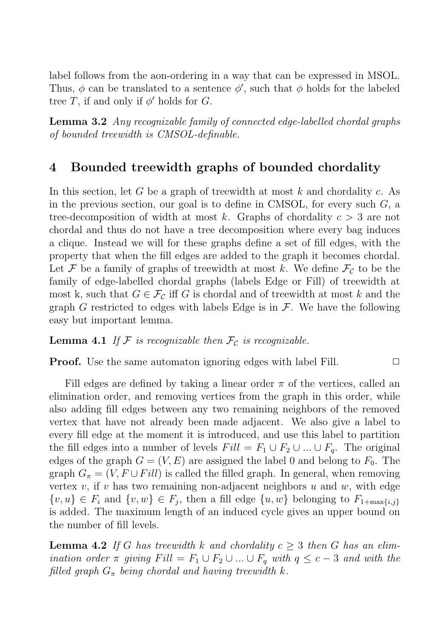<span id="page-6-0"></span>label follows from the aon-ordering in a way that can be expressed in MSOL. Thus,  $\phi$  can be translated to a sentence  $\phi'$ , such that  $\phi$  holds for the labeled tree T, if and only if  $\phi'$  holds for G.

**Lemma 3.2** Any recognizable family of connected edge-labelled chordal graphs of bounded treewidth is CMSOL-definable.

## **4 Bounded treewidth graphs of bounded chordality**

In this section, let G be a graph of treewidth at most  $k$  and chordality c. As in the previous section, our goal is to define in CMSOL, for every such  $G$ , a tree-decomposition of width at most k. Graphs of chordality  $c > 3$  are not chordal and thus do not have a tree decomposition where every bag induces a clique. Instead we will for these graphs define a set of fill edges, with the property that when the fill edges are added to the graph it becomes chordal. Let F be a family of graphs of treewidth at most k. We define  $\mathcal{F}_c$  to be the family of edge-labelled chordal graphs (labels Edge or Fill) of treewidth at most k, such that  $G \in \mathcal{F}_c$  iff G is chordal and of treewidth at most k and the graph G restricted to edges with labels Edge is in  $\mathcal{F}$ . We have the following easy but important lemma.

**Lemma 4.1** If F is recognizable then  $\mathcal{F}_c$  is recognizable.

**Proof.** Use the same automaton ignoring edges with label Fill.  $\Box$ 

Fill edges are defined by taking a linear order  $\pi$  of the vertices, called an elimination order, and removing vertices from the graph in this order, while also adding fill edges between any two remaining neighbors of the removed vertex that have not already been made adjacent. We also give a label to every fill edge at the moment it is introduced, and use this label to partition the fill edges into a number of levels  $Fill = F_1 \cup F_2 \cup ... \cup F_q$ . The original edges of the graph  $G = (V, E)$  are assigned the label 0 and belong to  $F_0$ . The graph  $G_{\pi} = (V, F \cup Fill)$  is called the filled graph. In general, when removing vertex  $v$ , if  $v$  has two remaining non-adjacent neighbors  $u$  and  $w$ , with edge  $\{v, u\} \in F_i$  and  $\{v, w\} \in F_j$ , then a fill edge  $\{u, w\}$  belonging to  $F_{1+\max\{i,j\}}$ is added. The maximum length of an induced cycle gives an upper bound on the number of fill levels.

**Lemma 4.2** If G has treewidth k and chordality  $c \geq 3$  then G has an elimination order  $\pi$  giving  $Fill = F_1 \cup F_2 \cup ... \cup F_q$  with  $q \leq c-3$  and with the filled graph  $G_{\pi}$  being chordal and having treewidth k.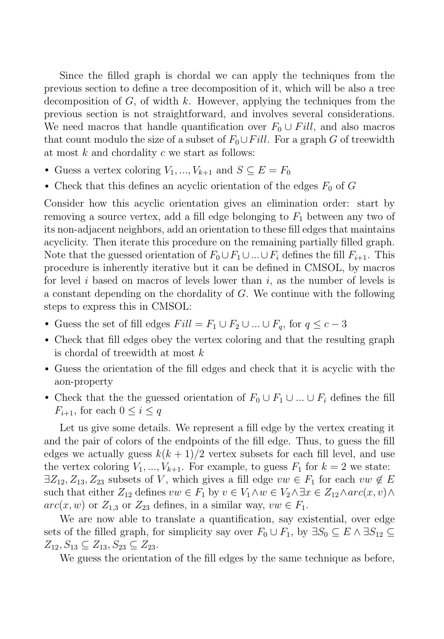Since the filled graph is chordal we can apply the techniques from the previous section to define a tree decomposition of it, which will be also a tree decomposition of  $G$ , of width  $k$ . However, applying the techniques from the previous section is not straightforward, and involves several considerations. We need macros that handle quantification over  $F_0 \cup Fill$ , and also macros that count modulo the size of a subset of  $F_0 \cup Fill$ . For a graph G of treewidth at most  $k$  and chordality  $c$  we start as follows:

- Guess a vertex coloring  $V_1, ..., V_{k+1}$  and  $S \subseteq E = F_0$
- Check that this defines an acyclic orientation of the edges  $F_0$  of  $G$

Consider how this acyclic orientation gives an elimination order: start by removing a source vertex, add a fill edge belonging to  $F_1$  between any two of its non-adjacent neighbors, add an orientation to these fill edges that maintains acyclicity. Then iterate this procedure on the remaining partially filled graph. Note that the guessed orientation of  $F_0 \cup F_1 \cup ... \cup F_i$  defines the fill  $F_{i+1}$ . This procedure is inherently iterative but it can be defined in CMSOL, by macros for level i based on macros of levels lower than i, as the number of levels is a constant depending on the chordality of G. We continue with the following steps to express this in CMSOL:

- Guess the set of fill edges  $Fill = F_1 \cup F_2 \cup ... \cup F_q$ , for  $q \leq c-3$
- Check that fill edges obey the vertex coloring and that the resulting graph is chordal of treewidth at most  $k$
- Guess the orientation of the fill edges and check that it is acyclic with the aon-property
- Check that the the guessed orientation of  $F_0 \cup F_1 \cup ... \cup F_i$  defines the fill  $F_{i+1}$ , for each  $0 \leq i \leq q$

Let us give some details. We represent a fill edge by the vertex creating it and the pair of colors of the endpoints of the fill edge. Thus, to guess the fill edges we actually guess  $k(k+1)/2$  vertex subsets for each fill level, and use the vertex coloring  $V_1, ..., V_{k+1}$ . For example, to guess  $F_1$  for  $k = 2$  we state:  $\exists Z_{12}, Z_{13}, Z_{23}$  subsets of V, which gives a fill edge  $vw \in F_1$  for each  $vw \notin E$ such that either  $Z_{12}$  defines  $vw \in F_1$  by  $v \in V_1 \wedge w \in V_2 \wedge \exists x \in Z_{12} \wedge arc(x, v) \wedge$  $arc(x, w)$  or  $Z_{1,3}$  or  $Z_{23}$  defines, in a similar way,  $vw \in F_1$ .

We are now able to translate a quantification, say existential, over edge sets of the filled graph, for simplicity say over  $F_0 \cup F_1$ , by  $\exists S_0 \subseteq E \land \exists S_{12} \subseteq$  $Z_{12}, S_{13} \subseteq Z_{13}, S_{23} \subseteq Z_{23}.$ 

We guess the orientation of the fill edges by the same technique as before,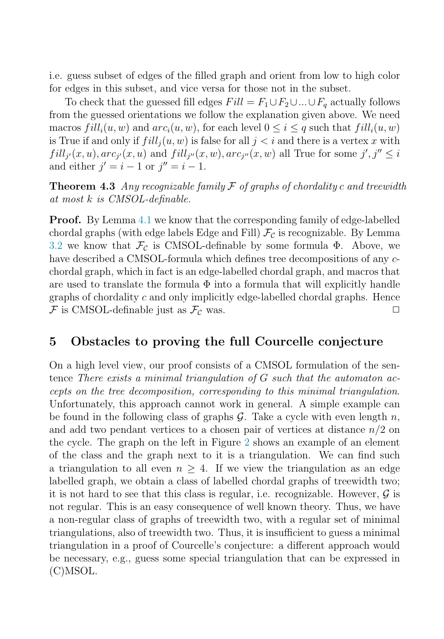i.e. guess subset of edges of the filled graph and orient from low to high color for edges in this subset, and vice versa for those not in the subset.

To check that the guessed fill edges  $Fill = F_1 \cup F_2 \cup ... \cup F_q$  actually follows from the guessed orientations we follow the explanation given above. We need macros  $fill_i(u, w)$  and  $arc_i(u, w)$ , for each level  $0 \leq i \leq q$  such that  $fill_i(u, w)$ is True if and only if  $fill_i(u, w)$  is false for all  $j < i$  and there is a vertex x with  $fill_{j'}(x,u), arc_{j'}(x,u)$  and  $fill_{j''}(x,w), arc_{j''}(x,w)$  all True for some  $j', j'' \leq i$ and either  $j' = i - 1$  or  $j'' = i - 1$ .

**Theorem 4.3** Any recognizable family  $\mathcal F$  of graphs of chordality c and treewidth at most k is CMSOL-definable.

**Proof.** By Lemma [4.1](#page-6-0) we know that the corresponding family of edge-labelled chordal graphs (with edge labels Edge and Fill)  $\mathcal{F}_c$  is recognizable. By Lemma [3.2](#page-6-0) we know that  $\mathcal{F}_c$  is CMSOL-definable by some formula  $\Phi$ . Above, we have described a CMSOL-formula which defines tree decompositions of any cchordal graph, which in fact is an edge-labelled chordal graph, and macros that are used to translate the formula  $\Phi$  into a formula that will explicitly handle graphs of chordality  $c$  and only implicitly edge-labelled chordal graphs. Hence  $\mathcal F$  is CMSOL-definable just as  $\mathcal F_{\mathcal C}$  was.

## **5 Obstacles to proving the full Courcelle conjecture**

On a high level view, our proof consists of a CMSOL formulation of the sentence There exists a minimal triangulation of G such that the automaton accepts on the tree decomposition, corresponding to this minimal triangulation. Unfortunately, this approach cannot work in general. A simple example can be found in the following class of graphs  $\mathcal G$ . Take a cycle with even length n, and add two pendant vertices to a chosen pair of vertices at distance  $n/2$  on the cycle. The graph on the left in Figure [2](#page-9-0) shows an example of an element of the class and the graph next to it is a triangulation. We can find such a triangulation to all even  $n \geq 4$ . If we view the triangulation as an edge labelled graph, we obtain a class of labelled chordal graphs of treewidth two; it is not hard to see that this class is regular, i.e. recognizable. However,  $\mathcal G$  is not regular. This is an easy consequence of well known theory. Thus, we have a non-regular class of graphs of treewidth two, with a regular set of minimal triangulations, also of treewidth two. Thus, it is insufficient to guess a minimal triangulation in a proof of Courcelle's conjecture: a different approach would be necessary, e.g., guess some special triangulation that can be expressed in (C)MSOL.